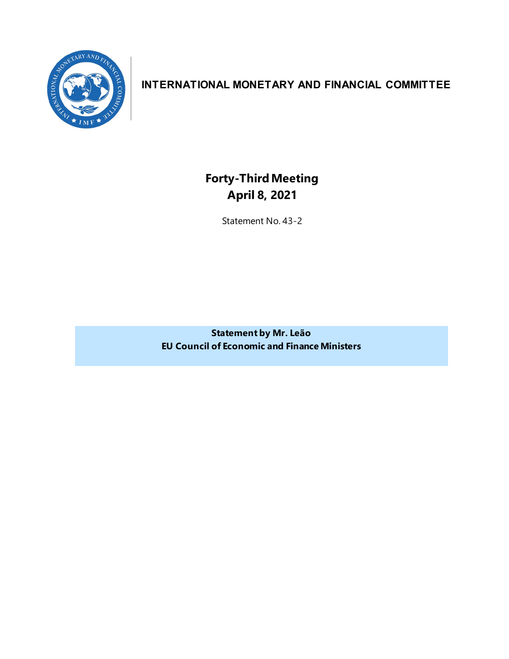

## **INTERNATIONAL MONETARY AND FINANCIAL COMMITTEE**

**Forty-ThirdMeeting April 8, 2021**

Statement No. 43-2

**Statement by Mr. Leão EU Council of Economic and Finance Ministers**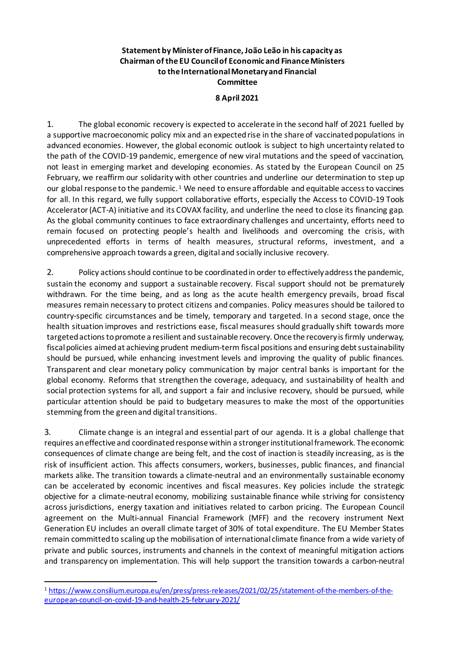## **Statement by Minister of Finance, João Leão in his capacity as Chairman of the EU Council of Economic and Finance Ministers to the International Monetary and Financial Committee**

## **8 April 2021**

1. The global economic recovery is expected to accelerate in the second half of 2021 fuelled by a supportive macroeconomic policy mix and an expected rise in the share of vaccinated populations in advanced economies. However, the global economic outlook is subject to high uncertainty related to the path of the COVID-19 pandemic, emergence of new viral mutations and the speed of vaccination, not least in emerging market and developing economies. As stated by the European Council on 25 February, we reaffirm our solidarity with other countries and underline our determination to step up our global response to the pandemic. [1](#page-2-0) We need to ensure affordable and equitable access to vaccines for all. In this regard, we fully support collaborative efforts, especially the Access to COVID-19 Tools Accelerator (ACT-A) initiative and its COVAX facility, and underline the need to close its financing gap. As the global community continues to face extraordinary challenges and uncertainty, efforts need to remain focused on protecting people's health and livelihoods and overcoming the crisis, with unprecedented efforts in terms of health measures, structural reforms, investment, and a comprehensive approach towards a green, digital and socially inclusive recovery.

2. Policy actions should continue to be coordinated in order to effectively address the pandemic, sustain the economy and support a sustainable recovery. Fiscal support should not be prematurely withdrawn. For the time being, and as long as the acute health emergency prevails, broad fiscal measures remain necessary to protect citizens and companies. Policy measures should be tailored to country-specific circumstances and be timely, temporary and targeted. In a second stage, once the health situation improves and restrictions ease, fiscal measures should gradually shift towards more targeted actions to promote a resilient and sustainable recovery. Once the recovery is firmly underway, fiscal policies aimed at achieving prudent medium-term fiscal positions and ensuring debt sustainability should be pursued, while enhancing investment levels and improving the quality of public finances. Transparent and clear monetary policy communication by major central banks is important for the global economy. Reforms that strengthen the coverage, adequacy, and sustainability of health and social protection systems for all, and support a fair and inclusive recovery, should be pursued, while particular attention should be paid to budgetary measures to make the most of the opportunities stemming from the green and digital transitions.

3. Climate change is an integral and essential part of our agenda. It is a global challenge that requires an effective and coordinated response within a stronger institutional framework. The economic consequences of climate change are being felt, and the cost of inaction is steadily increasing, as is the risk of insufficient action. This affects consumers, workers, businesses, public finances, and financial markets alike. The transition towards a climate-neutral and an environmentally sustainable economy can be accelerated by economic incentives and fiscal measures. Key policies include the strategic objective for a climate-neutral economy, mobilizing sustainable finance while striving for consistency across jurisdictions, energy taxation and initiatives related to carbon pricing. The European Council agreement on the Multi-annual Financial Framework (MFF) and the recovery instrument Next Generation EU includes an overall climate target of 30% of total expenditure. The EU Member States remain committed to scaling up the mobilisation of international climate finance from a wide variety of private and public sources, instruments and channels in the context of meaningful mitigation actions and transparency on implementation. This will help support the transition towards a carbon-neutral

<span id="page-2-0"></span><sup>1</sup> [https://www.consilium.europa.eu/en/press/press-releases/2021/02/25/statement-of-the-members-of-the](https://www.consilium.europa.eu/en/press/press-releases/2021/02/25/statement-of-the-members-of-the-european-council-on-covid-19-and-health-25-february-2021/)[european-council-on-covid-19-and-health-25-february-2021/](https://www.consilium.europa.eu/en/press/press-releases/2021/02/25/statement-of-the-members-of-the-european-council-on-covid-19-and-health-25-february-2021/)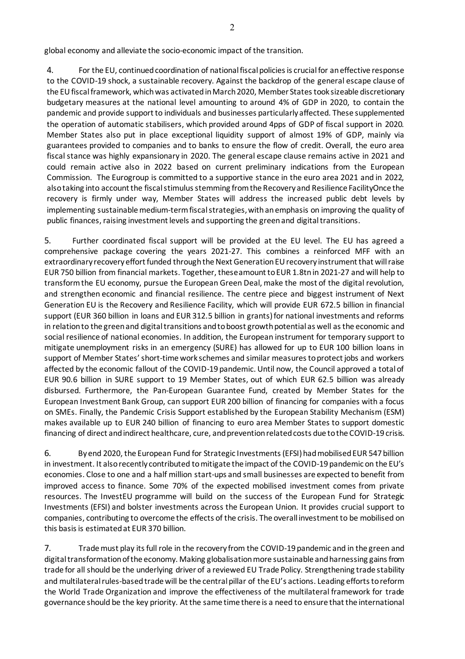global economy and alleviate the socio-economic impact of the transition.

4. For the EU, continued coordination of national fiscal policies is crucial for an effective response to the COVID-19 shock, a sustainable recovery. Against the backdrop of the general escape clause of the EU fiscal framework, which was activated in March 2020, Member States took sizeable discretionary budgetary measures at the national level amounting to around 4% of GDP in 2020, to contain the pandemic and provide support to individuals and businesses particularly affected. These supplemented the operation of automatic stabilisers, which provided around 4pps of GDP of fiscal support in 2020. Member States also put in place exceptional liquidity support of almost 19% of GDP, mainly via guarantees provided to companies and to banks to ensure the flow of credit. Overall, the euro area fiscal stance was highly expansionary in 2020. The general escape clause remains active in 2021 and could remain active also in 2022 based on current preliminary indications from the European Commission. The Eurogroup is committed to a supportive stance in the euro area 2021 and in 2022, also taking into account the fiscal stimulus stemming from the Recovery and Resilience FacilityOnce the recovery is firmly under way, Member States will address the increased public debt levels by implementing sustainable medium-term fiscal strategies, with an emphasis on improving the quality of public finances, raising investment levels and supporting the green and digital transitions.

5. Further coordinated fiscal support will be provided at the EU level. The EU has agreed a comprehensive package covering the years 2021-27. This combines a reinforced MFF with an extraordinary recovery effort funded through the Next Generation EU recovery instrument that will raise EUR 750 billion from financial markets. Together, these amount to EUR 1.8tn in 2021-27 and will help to transform the EU economy, pursue the European Green Deal, make the most of the digital revolution, and strengthen economic and financial resilience. The centre piece and biggest instrument of Next Generation EU is the Recovery and Resilience Facility, which will provide EUR 672.5 billion in financial support (EUR 360 billion in loans and EUR 312.5 billion in grants) for national investments and reforms in relation to the green and digital transitions and to boost growth potential as well as the economic and social resilience of national economies. In addition, the European instrument for temporary support to mitigate unemployment risks in an emergency (SURE) has allowed for up to EUR 100 billion loans in support of Member States' short-time work schemes and similar measures to protect jobs and workers affected by the economic fallout of the COVID-19 pandemic. Until now, the Council approved a total of EUR 90.6 billion in SURE support to 19 Member States, out of which EUR 62.5 billion was already disbursed. Furthermore, the Pan-European Guarantee Fund, created by Member States for the European Investment Bank Group, can support EUR 200 billion of financing for companies with a focus on SMEs. Finally, the Pandemic Crisis Support established by the European Stability Mechanism (ESM) makes available up to EUR 240 billion of financing to euro area Member States to support domestic financing of direct and indirect healthcare, cure, and prevention related costs due to the COVID-19 crisis.

6. By end 2020, the European Fund for Strategic Investments (EFSI) had mobilised EUR 547 billion in investment. It also recently contributed to mitigate the impact of the COVID-19 pandemic on the EU's economies. Close to one and a half million start-ups and small businesses are expected to benefit from improved access to finance. Some 70% of the expected mobilised investment comes from private resources. The InvestEU programme will build on the success of the European Fund for Strategic Investments (EFSI) and bolster investments across the European Union. It provides crucial support to companies, contributing to overcome the effects of the crisis. The overall investment to be mobilised on this basis is estimated at EUR 370 billion.

7. Trade must play its full role in the recovery from the COVID-19 pandemic and in the green and digital transformation of the economy. Making globalisation more sustainable and harnessing gains from trade for all should be the underlying driver of a reviewed EU Trade Policy. Strengthening trade stability and multilateral rules-based trade will be the central pillar of the EU's actions. Leading efforts to reform the World Trade Organization and improve the effectiveness of the multilateral framework for trade governance should be the key priority. At the same time there is a need to ensure that the international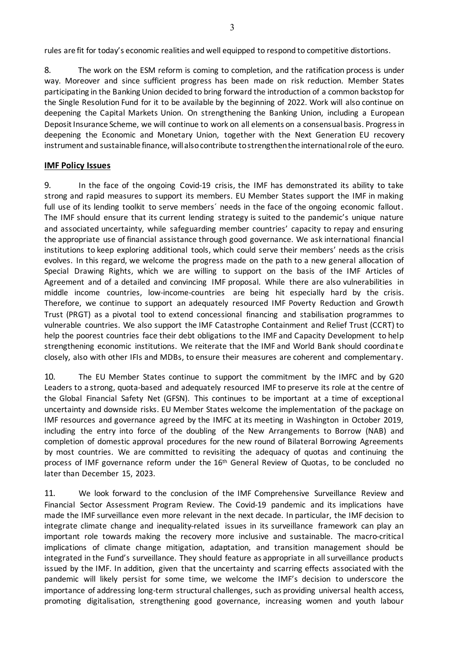rules are fit for today's economic realities and well equipped to respond to competitive distortions.

8. The work on the ESM reform is coming to completion, and the ratification process is under way. Moreover and since sufficient progress has been made on risk reduction. Member States participating in the Banking Union decided to bring forward the introduction of a common backstop for the Single Resolution Fund for it to be available by the beginning of 2022. Work will also continue on deepening the Capital Markets Union. On strengthening the Banking Union, including a European Deposit Insurance Scheme, we will continue to work on all elements on a consensual basis. Progress in deepening the Economic and Monetary Union, together with the Next Generation EU recovery instrument and sustainable finance, will also contribute to strengthen the international role of the euro.

## **IMF Policy Issues**

9. In the face of the ongoing Covid-19 crisis, the IMF has demonstrated its ability to take strong and rapid measures to support its members. EU Member States support the IMF in making full use of its lending toolkit to serve members' needs in the face of the ongoing economic fallout. The IMF should ensure that its current lending strategy is suited to the pandemic's unique nature and associated uncertainty, while safeguarding member countries' capacity to repay and ensuring the appropriate use of financial assistance through good governance. We ask international financial institutions to keep exploring additional tools, which could serve their members' needs as the crisis evolves. In this regard, we welcome the progress made on the path to a new general allocation of Special Drawing Rights, which we are willing to support on the basis of the IMF Articles of Agreement and of a detailed and convincing IMF proposal. While there are also vulnerabilities in middle income countries, low-income-countries are being hit especially hard by the crisis. Therefore, we continue to support an adequately resourced IMF Poverty Reduction and Growth Trust (PRGT) as a pivotal tool to extend concessional financing and stabilisation programmes to vulnerable countries. We also support the IMF Catastrophe Containment and Relief Trust (CCRT) to help the poorest countries face their debt obligations to the IMF and Capacity Development to help strengthening economic institutions. We reiterate that the IMF and World Bank should coordinate closely, also with other IFIs and MDBs, to ensure their measures are coherent and complementary.

10. The EU Member States continue to support the commitment by the IMFC and by G20 Leaders to a strong, quota-based and adequately resourced IMF to preserve its role at the centre of the Global Financial Safety Net (GFSN). This continues to be important at a time of exceptional uncertainty and downside risks. EU Member States welcome the implementation of the package on IMF resources and governance agreed by the IMFC at its meeting in Washington in October 2019, including the entry into force of the doubling of the New Arrangements to Borrow (NAB) and completion of domestic approval procedures for the new round of Bilateral Borrowing Agreements by most countries. We are committed to revisiting the adequacy of quotas and continuing the process of IMF governance reform under the 16<sup>th</sup> General Review of Quotas, to be concluded no later than December 15, 2023.

11. We look forward to the conclusion of the IMF Comprehensive Surveillance Review and Financial Sector Assessment Program Review. The Covid-19 pandemic and its implications have made the IMF surveillance even more relevant in the next decade. In particular, the IMF decision to integrate climate change and inequality-related issues in its surveillance framework can play an important role towards making the recovery more inclusive and sustainable. The macro-critical implications of climate change mitigation, adaptation, and transition management should be integrated in the Fund's surveillance. They should feature as appropriate in all surveillance products issued by the IMF. In addition, given that the uncertainty and scarring effects associated with the pandemic will likely persist for some time, we welcome the IMF's decision to underscore the importance of addressing long-term structural challenges, such as providing universal health access, promoting digitalisation, strengthening good governance, increasing women and youth labour